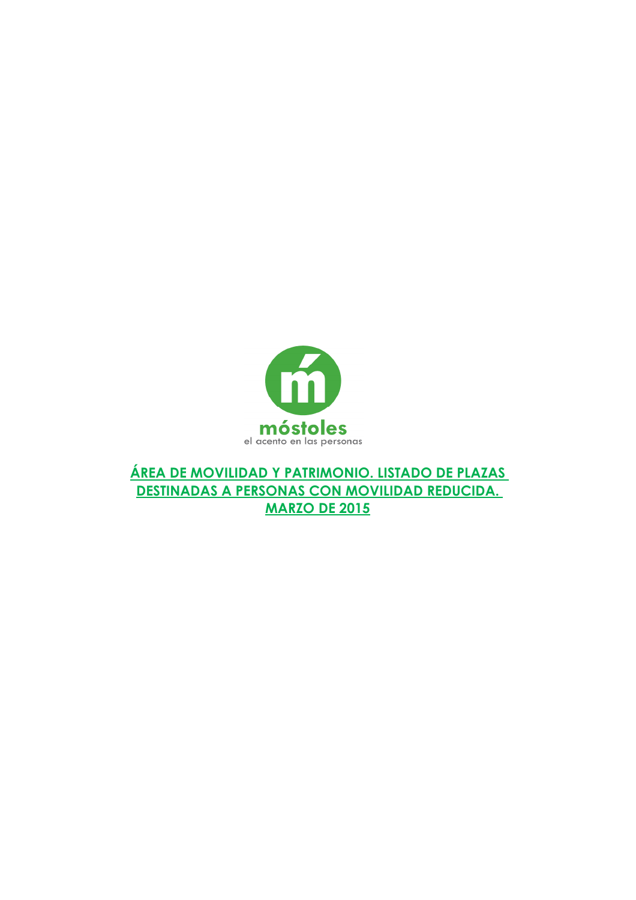

**ÁREA DE MOVILIDAD Y PATRIMONIO. LISTADO DE PLAZAS DESTINADAS A PERSONAS CON MOVILIDAD REDUCIDA. MARZO DE 2015**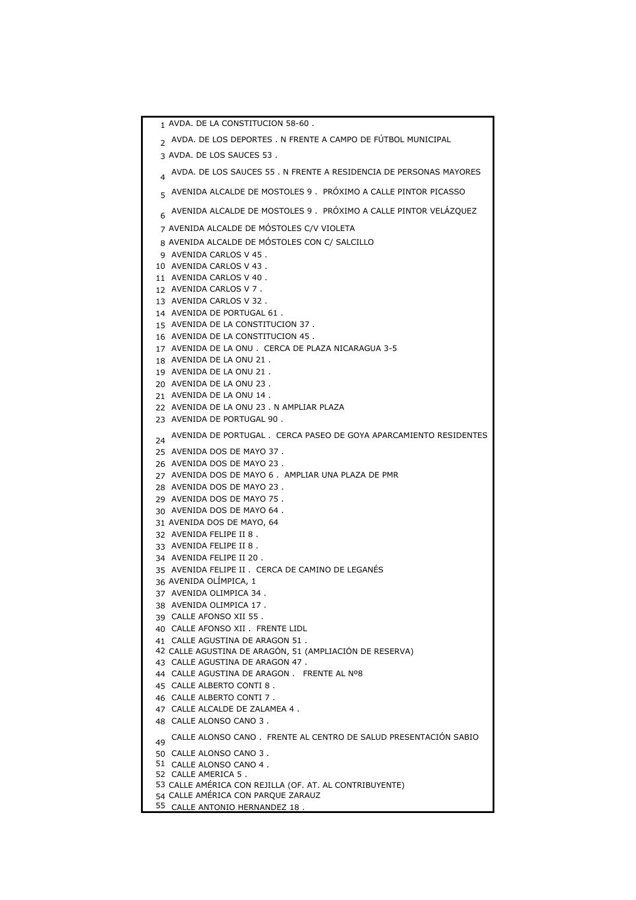AVDA. DE LA CONSTITUCION 58-60 . <sub>2</sub> AVDA. DE LOS DEPORTES . N FRENTE A CAMPO DE FUTBOL MUNICIPAL AVDA. DE LOS SAUCES 53 . AVDA. DE LOS SAUCES 55 . N FRENTE A RESIDENCIA DE PERSONAS MAYORES 5 AVENIDA ALCALDE DE MOSTOLES 9 . PROXIMO A CALLE PINTOR PICASSO 6 AVENIDA ALCALDE DE MOSTOLES 9 . PROXIMO A CALLE PINTOR VELAZQUEZ AVENIDA ALCALDE DE MÓSTOLES C/V VIOLETA AVENIDA ALCALDE DE MÓSTOLES CON C/ SALCILLO AVENIDA CARLOS V 45 . AVENIDA CARLOS V 43 . AVENIDA CARLOS V 40 . AVENIDA CARLOS V 7 . AVENIDA CARLOS V 32 . AVENIDA DE PORTUGAL 61 . AVENIDA DE LA CONSTITUCION 37 . AVENIDA DE LA CONSTITUCION 45 . AVENIDA DE LA ONU . CERCA DE PLAZA NICARAGUA 3-5 AVENIDA DE LA ONU 21 . AVENIDA DE LA ONU 21 . AVENIDA DE LA ONU 23 . AVENIDA DE LA ONU 14 . AVENIDA DE LA ONU 23 . N AMPLIAR PLAZA AVENIDA DE PORTUGAL 90 . AVENIDA DE PORTUGAL . CERCA PASEO DE GOYA APARCAMIENTO RESIDENTES AVENIDA DOS DE MAYO 37 . AVENIDA DOS DE MAYO 23 . AVENIDA DOS DE MAYO 6 . AMPLIAR UNA PLAZA DE PMR AVENIDA DOS DE MAYO 23 . AVENIDA DOS DE MAYO 75 . AVENIDA DOS DE MAYO 64 . AVENIDA DOS DE MAYO, 64 AVENIDA FELIPE II 8 . AVENIDA FELIPE II 8 . AVENIDA FELIPE II 20 . AVENIDA FELIPE II . CERCA DE CAMINO DE LEGANÉS AVENIDA OLÍMPICA, 1 AVENIDA OLIMPICA 34 . AVENIDA OLIMPICA 17 . CALLE AFONSO XII 55 . CALLE AFONSO XII . FRENTE LIDL CALLE AGUSTINA DE ARAGON 51 . CALLE AGUSTINA DE ARAGÓN, 51 (AMPLIACIÓN DE RESERVA) CALLE AGUSTINA DE ARAGON 47 . CALLE AGUSTINA DE ARAGON . FRENTE AL Nº8 CALLE ALBERTO CONTI 8 . CALLE ALBERTO CONTI 7 . CALLE ALCALDE DE ZALAMEA 4 . CALLE ALONSO CANO 3 . 49 CALLE ALONSO CANO . FRENTE AL CENTRO DE SALUD PRESENTACIÓN SABIO CALLE ALONSO CANO 3 . CALLE ALONSO CANO 4 . CALLE AMERICA 5 . CALLE AMÉRICA CON REJILLA (OF. AT. AL CONTRIBUYENTE) CALLE AMÉRICA CON PARQUE ZARAUZ CALLE ANTONIO HERNANDEZ 18 .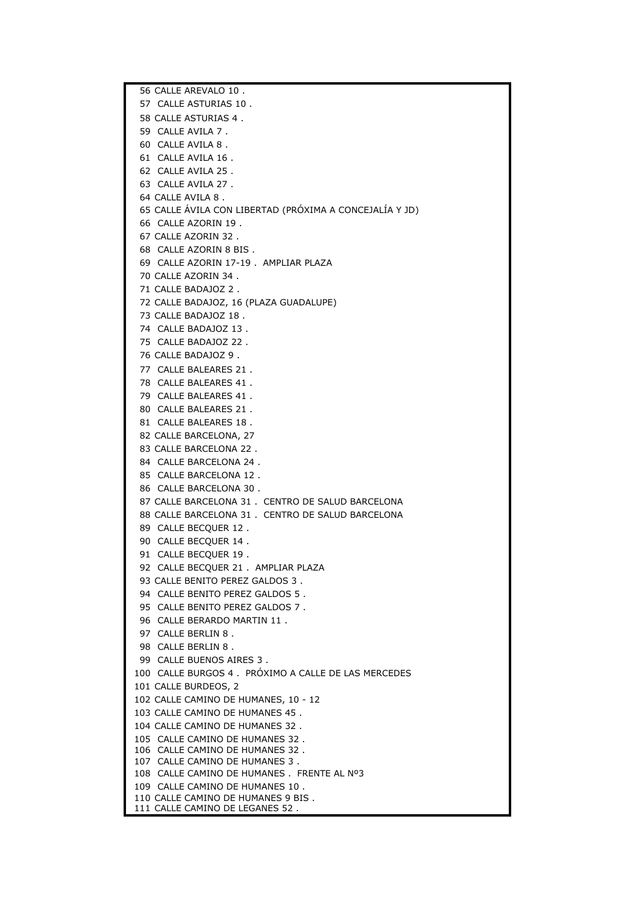56 CALLE AREVALO 10 . 57 CALLE ASTURIAS 10 . 58 CALLE ASTURIAS 4 . 59 CALLE AVILA 7 . 60 CALLE AVILA 8 . 61 CALLE AVILA 16 . 62 CALLE AVILA 25 . 63 CALLE AVILA 27 . 64 CALLE AVILA 8 . 65 CALLE ÁVILA CON LIBERTAD (PRÓXIMA A CONCEJALÍA Y JD) 66 CALLE AZORIN 19 . 67 CALLE AZORIN 32 . 68 CALLE AZORIN 8 BIS . 69 CALLE AZORIN 17-19 . AMPLIAR PLAZA 70 CALLE AZORIN 34 . 71 CALLE BADAJOZ 2 . 72 CALLE BADAJOZ, 16 (PLAZA GUADALUPE) 73 CALLE BADAJOZ 18 . 74 CALLE BADAJOZ 13 . 75 CALLE BADAJOZ 22 . 76 CALLE BADAJOZ 9 . 77 CALLE BALEARES 21 . 78 CALLE BALEARES 41 . 79 CALLE BALEARES 41 . 80 CALLE BALEARES 21 . 81 CALLE BALEARES 18 . 82 CALLE BARCELONA, 27 83 CALLE BARCELONA 22 . 84 CALLE BARCELONA 24 . 85 CALLE BARCELONA 12 . 86 CALLE BARCELONA 30 . 87 CALLE BARCELONA 31 . CENTRO DE SALUD BARCELONA 88 CALLE BARCELONA 31 . CENTRO DE SALUD BARCELONA 89 CALLE BECQUER 12 . 90 CALLE BECQUER 14 . 91 CALLE BECQUER 19 . 92 CALLE BECQUER 21 . AMPLIAR PLAZA 93 CALLE BENITO PEREZ GALDOS 3 . 94 CALLE BENITO PEREZ GALDOS 5 . 95 CALLE BENITO PEREZ GALDOS 7 . 96 CALLE BERARDO MARTIN 11 . 97 CALLE BERLIN 8 . 98 CALLE BERLIN 8 . 99 CALLE BUENOS AIRES 3 . 100 CALLE BURGOS 4 . PRÓXIMO A CALLE DE LAS MERCEDES 101 CALLE BURDEOS, 2 102 CALLE CAMINO DE HUMANES, 10 - 12 103 CALLE CAMINO DE HUMANES 45 . 104 CALLE CAMINO DE HUMANES 32 . 105 CALLE CAMINO DE HUMANES 32 . 106 CALLE CAMINO DE HUMANES 32 . 107 CALLE CAMINO DE HUMANES 3 . 108 CALLE CAMINO DE HUMANES . FRENTE AL Nº3 109 CALLE CAMINO DE HUMANES 10 . 110 CALLE CAMINO DE HUMANES 9 BIS . 111 CALLE CAMINO DE LEGANES 52 .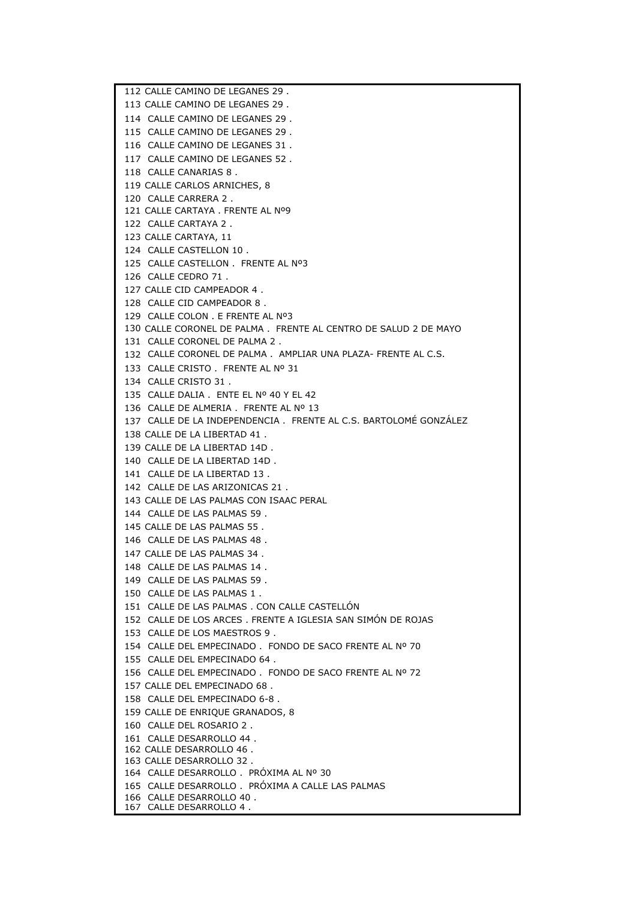112 CALLE CAMINO DE LEGANES 29 . 113 CALLE CAMINO DE LEGANES 29 . 114 CALLE CAMINO DE LEGANES 29 . 115 CALLE CAMINO DE LEGANES 29 . 116 CALLE CAMINO DE LEGANES 31 . 117 CALLE CAMINO DE LEGANES 52 . 118 CALLE CANARIAS 8 . 119 CALLE CARLOS ARNICHES, 8 120 CALLE CARRERA 2 . 121 CALLE CARTAYA . FRENTE AL Nº9 122 CALLE CARTAYA 2 . 123 CALLE CARTAYA, 11 124 CALLE CASTELLON 10 . 125 CALLE CASTELLON . FRENTE AL Nº3 126 CALLE CEDRO 71 . 127 CALLE CID CAMPEADOR 4 . 128 CALLE CID CAMPEADOR 8 . 129 CALLE COLON . E FRENTE AL Nº3 130 CALLE CORONEL DE PALMA . FRENTE AL CENTRO DE SALUD 2 DE MAYO 131 CALLE CORONEL DE PALMA 2 . 132 CALLE CORONEL DE PALMA . AMPLIAR UNA PLAZA- FRENTE AL C.S.133 CALLE CRISTO . FRENTE AL Nº 31 134 CALLE CRISTO 31 . 135 CALLE DALIA . ENTE EL Nº 40 Y EL 42 136 CALLE DE ALMERIA . FRENTE AL Nº 13 137 CALLE DE LA INDEPENDENCIA . FRENTE AL C.S. BARTOLOMÉ GONZÁLEZ 138 CALLE DE LA LIBERTAD 41 . 139 CALLE DE LA LIBERTAD 14D . 140 CALLE DE LA LIBERTAD 14D . 141 CALLE DE LA LIBERTAD 13 . 142 CALLE DE LAS ARIZONICAS 21 . 143 CALLE DE LAS PALMAS CON ISAAC PERAL 144 CALLE DE LAS PALMAS 59 . 145 CALLE DE LAS PALMAS 55 . 146 CALLE DE LAS PALMAS 48 . 147 CALLE DE LAS PALMAS 34 . 148 CALLE DE LAS PALMAS 14 . 149 CALLE DE LAS PALMAS 59 . 150 CALLE DE LAS PALMAS 1 . 151 CALLE DE LAS PALMAS . CON CALLE CASTELLÓN 152 CALLE DE LOS ARCES . FRENTE A IGLESIA SAN SIMÓN DE ROJAS 153 CALLE DE LOS MAESTROS 9 . 154 CALLE DEL EMPECINADO . FONDO DE SACO FRENTE AL Nº 70 155 CALLE DEL EMPECINADO 64 . 156 CALLE DEL EMPECINADO . FONDO DE SACO FRENTE AL Nº 72 157 CALLE DEL EMPECINADO 68 . 158 CALLE DEL EMPECINADO 6-8 . 159 CALLE DE ENRIQUE GRANADOS, 8 160 CALLE DEL ROSARIO 2 . 161 CALLE DESARROLLO 44 . 162 CALLE DESARROLLO 46 . 163 CALLE DESARROLLO 32 . 164 CALLE DESARROLLO . PRÓXIMA AL Nº 30 165 CALLE DESARROLLO . PRÓXIMA A CALLE LAS PALMAS 166 CALLE DESARROLLO 40 . 167 CALLE DESARROLLO 4 .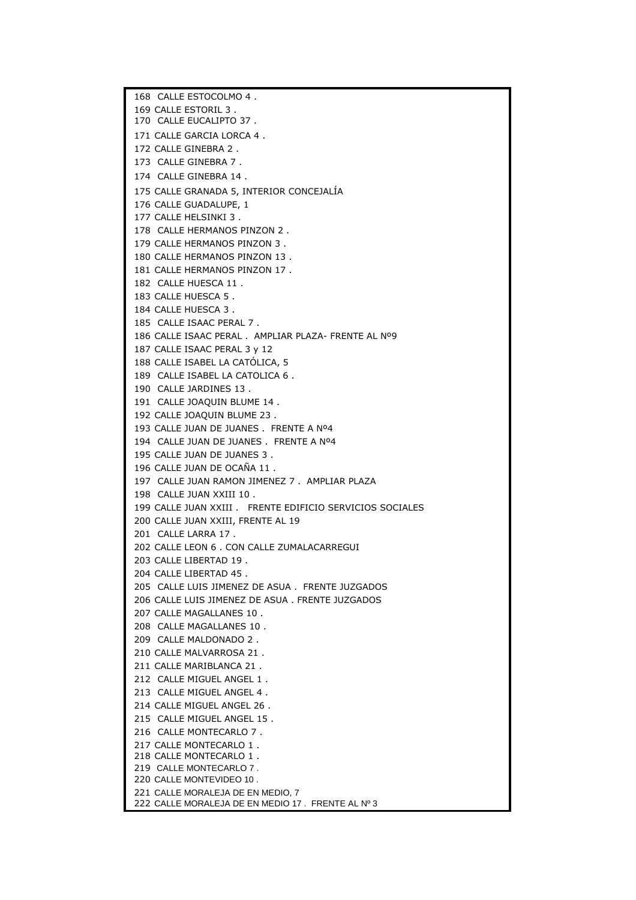168 CALLE ESTOCOLMO 4 . 169 CALLE ESTORIL 3 . 170 CALLE EUCALIPTO 37 . 171 CALLE GARCIA LORCA 4 . 172 CALLE GINEBRA 2 . 173 CALLE GINEBRA 7 . 174 CALLE GINEBRA 14 . 175 CALLE GRANADA 5, INTERIOR CONCEJALÍA 176 CALLE GUADALUPE, 1 177 CALLE HELSINKI 3 . 178 CALLE HERMANOS PINZON 2 . 179 CALLE HERMANOS PINZON 3 . 180 CALLE HERMANOS PINZON 13 . 181 CALLE HERMANOS PINZON 17 . 182 CALLE HUESCA 11 . 183 CALLE HUESCA 5 . 184 CALLE HUESCA 3 . 185 CALLE ISAAC PERAL 7 . 186 CALLE ISAAC PERAL . AMPLIAR PLAZA- FRENTE AL Nº9 187 CALLE ISAAC PERAL 3 y 12 188 CALLE ISABEL LA CATÓLICA, 5 189 CALLE ISABEL LA CATOLICA 6 . 190 CALLE JARDINES 13 . 191 CALLE JOAQUIN BLUME 14 . 192 CALLE JOAQUIN BLUME 23 . 193 CALLE JUAN DE JUANES . FRENTE A Nº4 194 CALLE JUAN DE JUANES . FRENTE A Nº4 195 CALLE JUAN DE JUANES 3 . 196 CALLE JUAN DE OCAÑA 11 . 197 CALLE JUAN RAMON JIMENEZ 7 . AMPLIAR PLAZA 198 CALLE JUAN XXIII 10 . 199 CALLE JUAN XXIII . FRENTE EDIFICIO SERVICIOS SOCIALES 200 CALLE JUAN XXIII, FRENTE AL 19 201 CALLE LARRA 17 . 202 CALLE LEON 6 . CON CALLE ZUMALACARREGUI 203 CALLE LIBERTAD 19 . 204 CALLE LIBERTAD 45 . 205 CALLE LUIS JIMENEZ DE ASUA . FRENTE JUZGADOS 206 CALLE LUIS JIMENEZ DE ASUA . FRENTE JUZGADOS 207 CALLE MAGALLANES 10 . 208 CALLE MAGALLANES 10 . 209 CALLE MALDONADO 2 . 210 CALLE MALVARROSA 21 . 211 CALLE MARIBLANCA 21 . 212 CALLE MIGUEL ANGEL 1 . 213 CALLE MIGUEL ANGEL 4 . 214 CALLE MIGUEL ANGEL 26 . 215 CALLE MIGUEL ANGEL 15 . 216 CALLE MONTECARLO 7 . 217 CALLE MONTECARLO 1 . 218 CALLE MONTECARLO 1 . 219 CALLE MONTECARLO 7 . 220 CALLE MONTEVIDEO 10 . 221 CALLE MORALEJA DE EN MEDIO, 7 222 CALLE MORALEJA DE EN MEDIO 17 . FRENTE AL Nº 3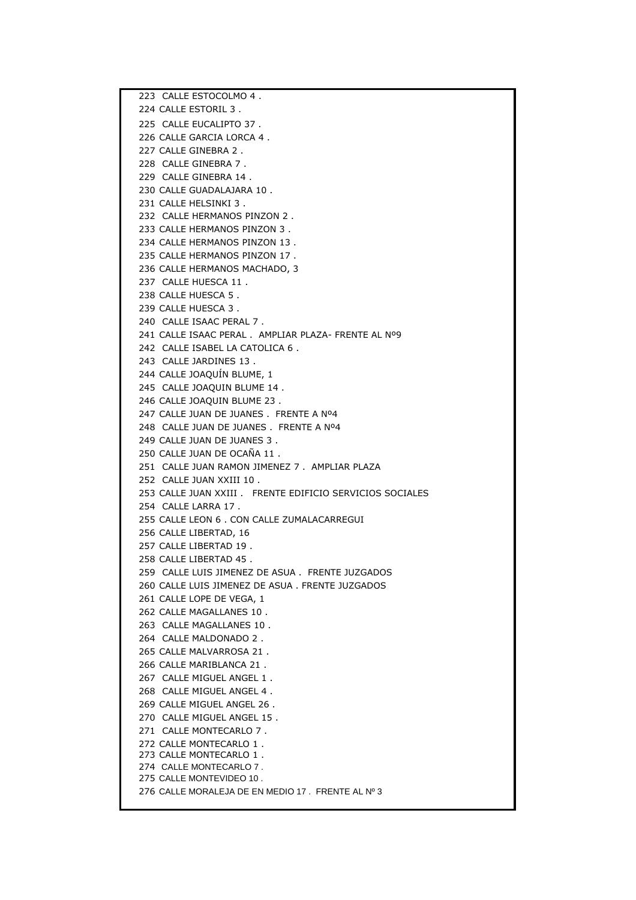223 CALLE ESTOCOLMO 4 . 224 CALLE ESTORIL 3 . 225 CALLE EUCALIPTO 37 . 226 CALLE GARCIA LORCA 4 . 227 CALLE GINEBRA 2 . 228 CALLE GINEBRA 7 . 229 CALLE GINEBRA 14 . 230 CALLE GUADALAJARA 10 . 231 CALLE HELSINKI 3 . 232 CALLE HERMANOS PINZON 2 . 233 CALLE HERMANOS PINZON 3 . 234 CALLE HERMANOS PINZON 13 . 235 CALLE HERMANOS PINZON 17 . 236 CALLE HERMANOS MACHADO, 3 237 CALLE HUESCA 11 . 238 CALLE HUESCA 5 . 239 CALLE HUESCA 3 . 240 CALLE ISAAC PERAL 7 . 241 CALLE ISAAC PERAL . AMPLIAR PLAZA- FRENTE AL Nº9 242 CALLE ISABEL LA CATOLICA 6 . 243 CALLE JARDINES 13 . 244 CALLE JOAQUÍN BLUME, 1 245 CALLE JOAQUIN BLUME 14 . 246 CALLE JOAQUIN BLUME 23 . 247 CALLE JUAN DE JUANES . FRENTE A Nº4 248 CALLE JUAN DE JUANES . FRENTE A Nº4 249 CALLE JUAN DE JUANES 3 . 250 CALLE JUAN DE OCAÑA 11 . 251 CALLE JUAN RAMON JIMENEZ 7 . AMPLIAR PLAZA 252 CALLE JUAN XXIII 10 . 253 CALLE JUAN XXIII . FRENTE EDIFICIO SERVICIOS SOCIALES 254 CALLE LARRA 17 . 255 CALLE LEON 6 . CON CALLE ZUMALACARREGUI 256 CALLE LIBERTAD, 16 257 CALLE LIBERTAD 19 . 258 CALLE LIBERTAD 45 . 259 CALLE LUIS JIMENEZ DE ASUA . FRENTE JUZGADOS 260 CALLE LUIS JIMENEZ DE ASUA . FRENTE JUZGADOS 261 CALLE LOPE DE VEGA, 1 262 CALLE MAGALLANES 10 . 263 CALLE MAGALLANES 10 . 264 CALLE MALDONADO 2 . 265 CALLE MALVARROSA 21 . 266 CALLE MARIBLANCA 21 . 267 CALLE MIGUEL ANGEL 1. 268 CALLE MIGUEL ANGEL 4 . 269 CALLE MIGUEL ANGEL 26 . 270 CALLE MIGUEL ANGEL 15 . 271 CALLE MONTECARLO 7 . 272 CALLE MONTECARLO 1 . 273 CALLE MONTECARLO 1 . 274 CALLE MONTECARLO 7 . 275 CALLE MONTEVIDEO 10 . 276 CALLE MORALEJA DE EN MEDIO 17 . FRENTE AL Nº 3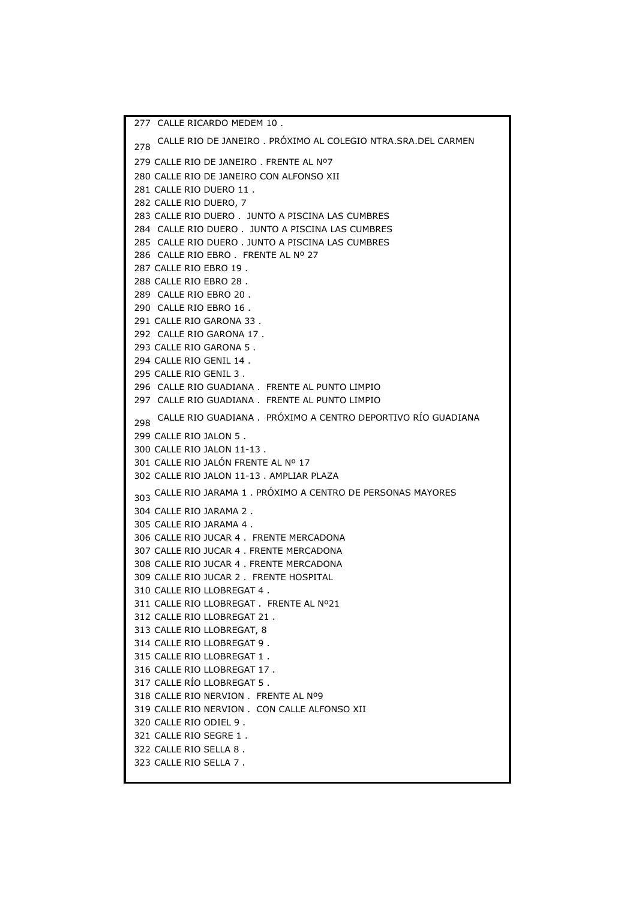277 CALLE RICARDO MEDEM 10 . 278 CALLE RIO DE JANEIRO . PRÓXIMO AL COLEGIO NTRA.SRA.DEL CARMEN 279 CALLE RIO DE JANEIRO . FRENTE AL Nº7 280 CALLE RIO DE JANEIRO CON ALFONSO XII 281 CALLE RIO DUERO 11 . 282 CALLE RIO DUERO, 7 283 CALLE RIO DUERO . JUNTO A PISCINA LAS CUMBRES 284 CALLE RIO DUERO . JUNTO A PISCINA LAS CUMBRES 285 CALLE RIO DUERO . JUNTO A PISCINA LAS CUMBRES 286 CALLE RIO EBRO . FRENTE AL Nº 27 287 CALLE RIO EBRO 19 . 288 CALLE RIO EBRO 28 . 289 CALLE RIO EBRO 20 . 290 CALLE RIO EBRO 16 . 291 CALLE RIO GARONA 33 . 292 CALLE RIO GARONA 17 . 293 CALLE RIO GARONA 5 . 294 CALLE RIO GENIL 14 . 295 CALLE RIO GENIL 3 . 296 CALLE RIO GUADIANA . FRENTE AL PUNTO LIMPIO 297 CALLE RIO GUADIANA . FRENTE AL PUNTO LIMPIO 298 CALLE RIO GUADIANA . PRÓXIMO A CENTRO DEPORTIVO RÍO GUADIANA299 CALLE RIO JALON 5 . 300 CALLE RIO JALON 11-13 . 301 CALLE RIO JALÓN FRENTE AL Nº 17 302 CALLE RIO JALON 11-13 . AMPLIAR PLAZA 303 CALLE RIO JARAMA 1 . PRÓXIMO A CENTRO DE PERSONAS MAYORES 304 CALLE RIO JARAMA 2 . 305 CALLE RIO JARAMA 4 . 306 CALLE RIO JUCAR 4 . FRENTE MERCADONA 307 CALLE RIO JUCAR 4 . FRENTE MERCADONA 308 CALLE RIO JUCAR 4 . FRENTE MERCADONA 309 CALLE RIO JUCAR 2 . FRENTE HOSPITAL 310 CALLE RIO LLOBREGAT 4 . 311 CALLE RIO LLOBREGAT . FRENTE AL Nº21 312 CALLE RIO LLOBREGAT 21 . 313 CALLE RIO LLOBREGAT, 8 314 CALLE RIO LLOBREGAT 9 . 315 CALLE RIO LLOBREGAT 1 . 316 CALLE RIO LLOBREGAT 17 . 317 CALLE RÍO LLOBREGAT 5 . 318 CALLE RIO NERVION . FRENTE AL Nº9 319 CALLE RIO NERVION . CON CALLE ALFONSO XII 320 CALLE RIO ODIEL 9 . 321 CALLE RIO SEGRE 1 . 322 CALLE RIO SELLA 8 . 323 CALLE RIO SELLA 7 .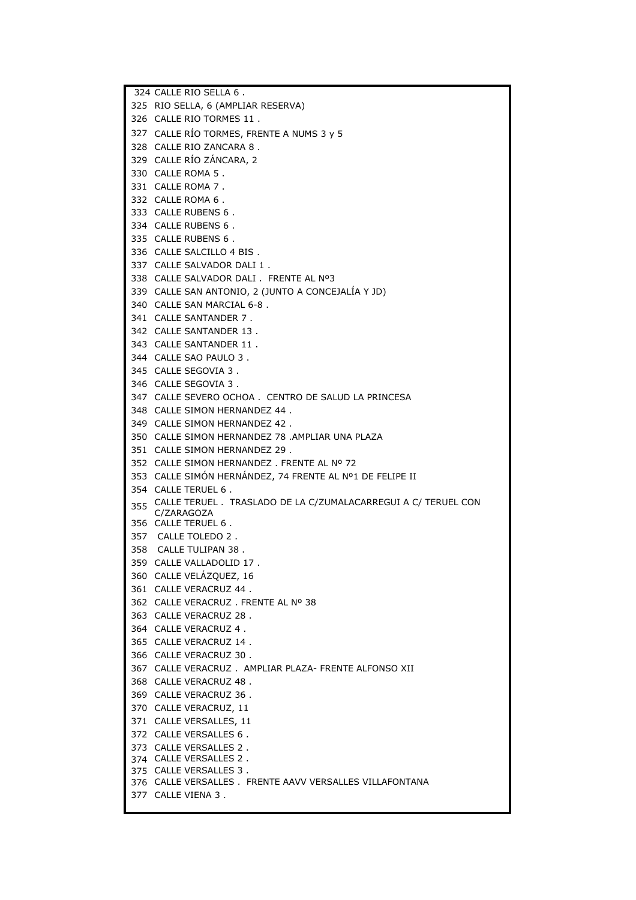324 CALLE RIO SELLA 6 . RIO SELLA, 6 (AMPLIAR RESERVA) CALLE RIO TORMES 11 . CALLE RÍO TORMES, FRENTE A NUMS 3 y 5 CALLE RIO ZANCARA 8 . CALLE RÍO ZÁNCARA, 2 CALLE ROMA 5 . CALLE ROMA 7 . CALLE ROMA 6 . CALLE RUBENS 6 . CALLE RUBENS 6 . CALLE RUBENS 6 . CALLE SALCILLO 4 BIS . CALLE SALVADOR DALI 1 . CALLE SALVADOR DALI . FRENTE AL Nº3 CALLE SAN ANTONIO, 2 (JUNTO A CONCEJALÍA Y JD) CALLE SAN MARCIAL 6-8 . CALLE SANTANDER 7 . CALLE SANTANDER 13 . CALLE SANTANDER 11 . CALLE SAO PAULO 3 . CALLE SEGOVIA 3 . CALLE SEGOVIA 3 . CALLE SEVERO OCHOA . CENTRO DE SALUD LA PRINCESA CALLE SIMON HERNANDEZ 44 . CALLE SIMON HERNANDEZ 42 . CALLE SIMON HERNANDEZ 78 .AMPLIAR UNA PLAZA CALLE SIMON HERNANDEZ 29 . CALLE SIMON HERNANDEZ . FRENTE AL Nº 72 CALLE SIMÓN HERNÁNDEZ, 74 FRENTE AL Nº1 DE FELIPE II CALLE TERUEL 6 . CALLE TERUEL . TRASLADO DE LA C/ZUMALACARREGUI A C/ TERUEL CON CALLE TERUEL 6 . 357 CALLE TOLEDO 2 . 358 CALLE TULIPAN 38 . CALLE VALLADOLID 17 . CALLE VELÁZQUEZ, 16 CALLE VERACRUZ 44 . CALLE VERACRUZ . FRENTE AL Nº 38 CALLE VERACRUZ 28 . CALLE VERACRUZ 4 . CALLE VERACRUZ 14 . CALLE VERACRUZ 30 . CALLE VERACRUZ . AMPLIAR PLAZA- FRENTE ALFONSO XII CALLE VERACRUZ 48 . CALLE VERACRUZ 36 . CALLE VERACRUZ, 11 CALLE VERSALLES, 11 CALLE VERSALLES 6 . CALLE VERSALLES 2 . CALLE VERSALLES 2 . CALLE VERSALLES 3 . CALLE VERSALLES . FRENTE AAVV VERSALLES VILLAFONTANA CALLE VIENA 3 . C/ZARAGOZA